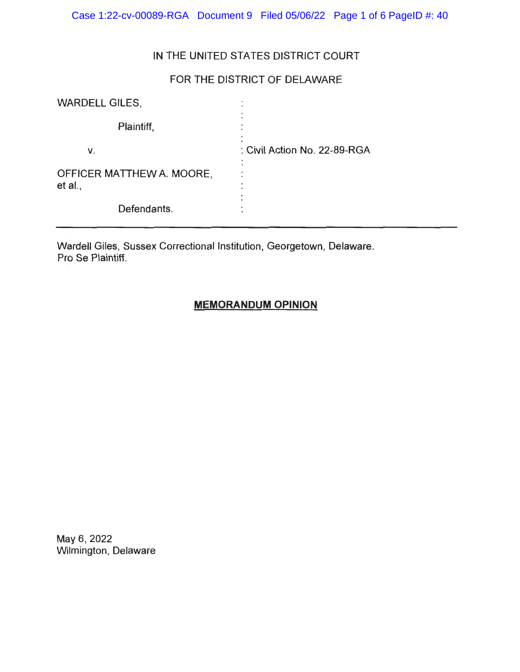Case 1:22-cv-00089-RGA Document 9 Filed 05/06/22 Page 1 of 6 PageID #: 40

## IN THE UNITED STATES DISTRICT COURT

# FOR THE DISTRICT OF DELAWARE

| <b>WARDELL GILES,</b>                | $\bullet$                                      |
|--------------------------------------|------------------------------------------------|
| Plaintiff,                           |                                                |
| v.                                   | $\blacksquare$<br>: Civil Action No. 22-89-RGA |
| OFFICER MATTHEW A. MOORE,<br>et al., | ٠                                              |
| Defendants.                          |                                                |

Wardell Giles, Sussex Correctional Institution, Georgetown, Delaware. Pro Se Plaintiff.

# **MEMORANDUM OPINION**

May 6, 2022 Wilmington, Delaware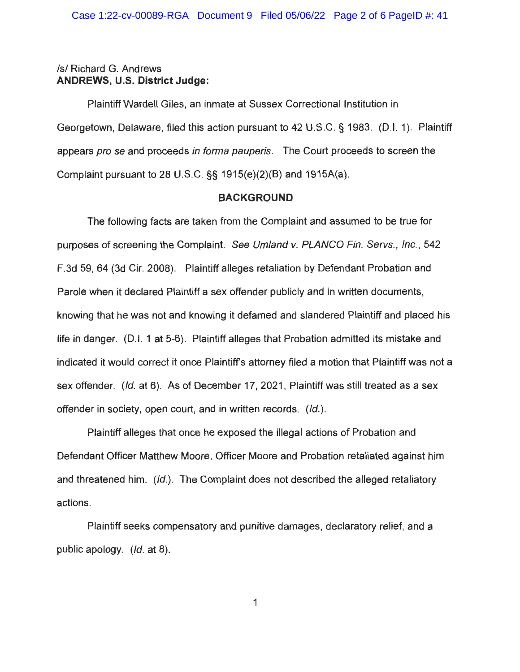## /s/ Richard G. Andrews **ANDREWS, U.S. District Judge:**

Plaintiff Wardell Giles, an inmate at Sussex Correctional Institution in Georgetown, Delaware, filed this action pursuant to 42 U.S.C. § 1983. (D.I. 1). Plaintiff appears pro se and proceeds in forma pauperis. The Court proceeds to screen the Complaint pursuant to 28 U.S.C. §§ 1915(e)(2)(B) and 1915A(a).

## **BACKGROUND**

The following facts are taken from the Complaint and assumed to be true for purposes of screening the Complaint. See Umland v. PLANCO Fin. Servs., Inc., 542 F.3d 59, 64 (3d Cir. 2008). Plaintiff alleges retaliation by Defendant Probation and Parole when it declared Plaintiff a sex offender publicly and in written documents, knowing that he was not and knowing it defamed and slandered Plaintiff and placed his life in danger. (0.1. 1 at 5-6). Plaintiff alleges that Probation admitted its mistake and indicated it would correct it once Plaintiffs attorney filed a motion that Plaintiff was not a sex offender. (Id. at 6). As of December 17, 2021, Plaintiff was still treated as a sex offender in society, open court, and in written records. (Id.).

Plaintiff alleges that once he exposed the illegal actions of Probation and Defendant Officer Matthew Moore, Officer Moore and Probation retaliated against him and threatened him. (Id.). The Complaint does not described the alleged retaliatory actions.

Plaintiff seeks compensatory and punitive damages, declaratory relief, and a public apology. (Id. at 8).

1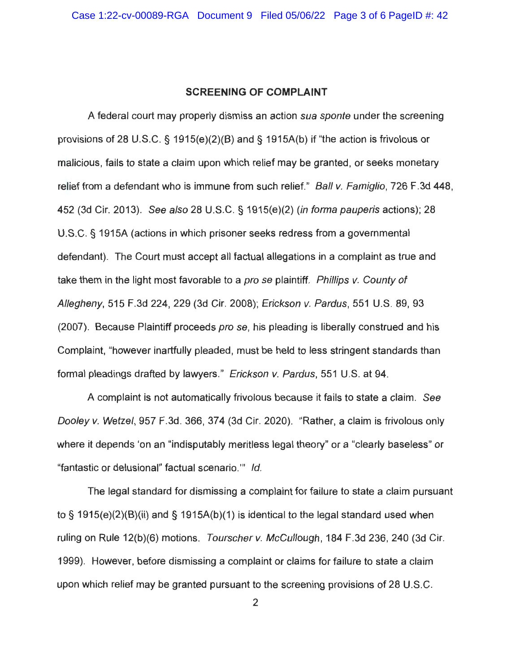### **SCREENING OF COMPLAINT**

A federal court may properly dismiss an action sua sponte under the screening provisions of 28 U.S.C. § 1915(e)(2)(B) and§ 1915A(b) if "the action is frivolous or malicious, fails to state a claim upon which relief may be granted, or seeks monetary relief from a defendant who is immune from such relief." Ball v. Famiglio, 726 F.3d 448, 452 (3d Cir. 2013). See also 28 U.S.C. § 1915(e)(2) (in forma pauperis actions); 28 U.S.C. § 1915A (actions in which prisoner seeks redress from a governmental defendant). The Court must accept all factual allegations in a complaint as true and take them in the light most favorable to a pro se plaintiff. Phillips v. County of Allegheny, 515 F.3d 224, 229 (3d Cir. 2008); Erickson v. Pardus, 551 U.S. 89, 93 (2007). Because Plaintiff proceeds pro se, his pleading is liberally construed and his Complaint, "however inartfully pleaded, must be held to less stringent standards than formal pleadings drafted by lawyers." Erickson v. Pardus, 551 U.S. at 94.

A complaint is not automatically frivolous because it fails to state a claim. See Dooley v. Wetzel, 957 F.3d. 366, 374 (3d Cir. 2020). "Rather, a claim is frivolous only where it depends 'on an "indisputably meritless legal theory" or a "clearly baseless" or "fantastic or delusional" factual scenario."' Id.

The legal standard for dismissing a complaint for failure to state a claim pursuant to § 1915(e)(2)(B)(ii) and § 1915A(b)(1) is identical to the legal standard used when ruling on Rule 12(b)(6) motions. Tourscher v. McCullough, 184 F.3d 236, 240 (3d Cir. 1999). However, before dismissing a complaint or claims for failure to state a claim upon which relief may be granted pursuant to the screening provisions of 28 U.S.C.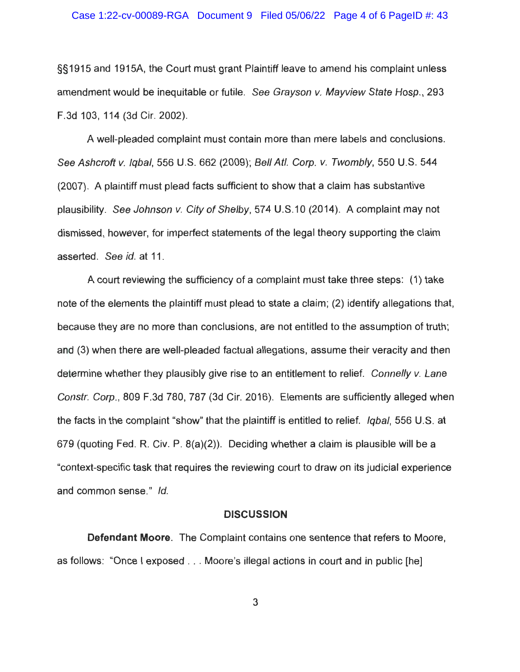§§1915 and 1915A, the Court must grant Plaintiff leave to amend his complaint unless amendment would be inequitable or futile. See Grayson v. Mayview State Hosp., 293 F.3d 103, 114 (3d Cir. 2002).

A well-pleaded complaint must contain more than mere labels and conclusions. See Ashcroft v. Iqbal, 556 U.S. 662 (2009); Bell Atl. Corp. v. Twombly, 550 U.S. 544 (2007). A plaintiff must plead facts sufficient to show that a claim has substantive plausibility. See Johnson v. City of Shelby, 574 U.S.10 (2014). A complaint may not dismissed, however, for imperfect statements of the legal theory supporting the claim asserted. See id. at 11.

A court reviewing the sufficiency of a complaint must take three steps: (1) take note of the elements the plaintiff must plead to state a claim; (2) identify allegations that, because they are no more than conclusions, are not entitled to the assumption of truth; and (3) when there are well-pleaded factual allegations, assume their veracity and then determine whether they plausibly give rise to an entitlement to relief. Connelly v. Lane Constr. Corp., 809 F.3d 780, 787 (3d Cir. 2016). Elements are sufficiently alleged when the facts in the complaint "show" that the plaintiff is entitled to relief. Igbal, 556 U.S. at 679 (quoting Fed. R. Civ. P. 8(a)(2)). Deciding whether a claim is plausible will be a "context-specific task that requires the reviewing court to draw on its judicial experience and common sense." Id.

### **DISCUSSION**

**Defendant Moore.** The Complaint contains one sentence that refers to Moore, as follows: "Once I exposed . . . Moore's illegal actions in court and in public [he]

3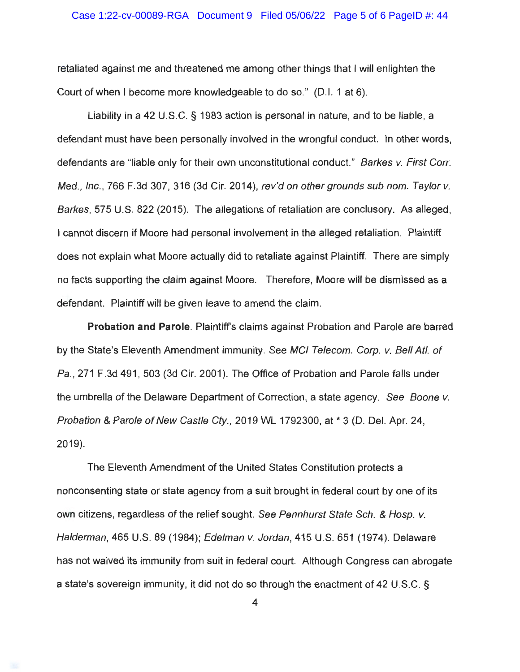retaliated against me and threatened me among other things that I will enlighten the Court of when I become more knowledgeable to do so." (D.I. 1 at 6).

Liability in a 42 U.S.C. § 1983 action is personal in nature, and to be liable, a defendant must have been personally involved in the wrongful conduct. In other words, defendants are "liable only for their own unconstitutional conduct." Barkes v. First Corr. Med., Inc., 766 F.3d 307, 316 (3d Cir. 2014), rev'd on other grounds sub nom. Taylor v. Barkes, 575 U.S. 822 (2015). The allegations of retaliation are conclusory. As alleged, I cannot discern if Moore had personal involvement in the alleged retaliation. Plaintiff does not explain what Moore actually did to retaliate against Plaintiff. There are simply no facts supporting the claim against Moore. Therefore, Moore will be dismissed as a defendant. Plaintiff will be given leave to amend the claim.

**Probation and Parole.** Plaintiffs claims against Probation and Parole are barred by the State's Eleventh Amendment immunity. See MCI Telecom. Corp. v. Bell Atl. of Pa., 271 F.3d 491, 503 (3d Cir. 2001). The Office of Probation and Parole falls under the umbrella of the Delaware Department of Correction, a state agency. See Boone v. Probation & Parole of New Castle Cty. , 2019 WL 1792300, at \* 3 (D. Del. Apr. 24, 2019).

The Eleventh Amendment of the United States Constitution protects a nonconsenting state or state agency from a suit brought in federal court by one of its own citizens, regardless of the relief sought. See Pennhurst State Sch. & Hosp. v. Halderman, 465 U.S. 89 (1984); Edelman v. Jordan, 415 U.S. 651 (1974). Delaware has not waived its immunity from suit in federal court. Although Congress can abrogate a state's sovereign immunity, it did not do so through the enactment of 42 U.S.C. §